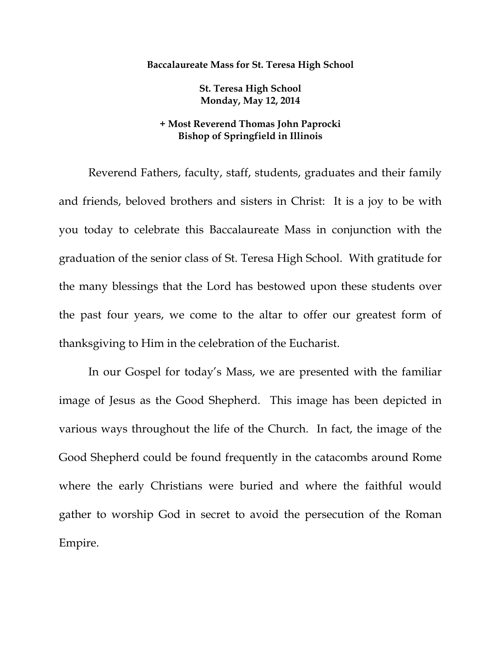## **Baccalaureate Mass for St. Teresa High School**

**St. Teresa High School Monday, May 12, 2014** 

## **+ Most Reverend Thomas John Paprocki Bishop of Springfield in Illinois**

 Reverend Fathers, faculty, staff, students, graduates and their family and friends, beloved brothers and sisters in Christ: It is a joy to be with you today to celebrate this Baccalaureate Mass in conjunction with the graduation of the senior class of St. Teresa High School. With gratitude for the many blessings that the Lord has bestowed upon these students over the past four years, we come to the altar to offer our greatest form of thanksgiving to Him in the celebration of the Eucharist.

 In our Gospel for today's Mass, we are presented with the familiar image of Jesus as the Good Shepherd. This image has been depicted in various ways throughout the life of the Church. In fact, the image of the Good Shepherd could be found frequently in the catacombs around Rome where the early Christians were buried and where the faithful would gather to worship God in secret to avoid the persecution of the Roman Empire.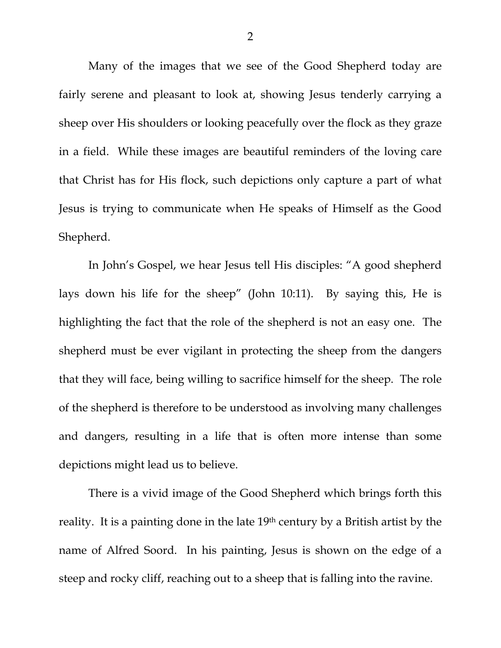Many of the images that we see of the Good Shepherd today are fairly serene and pleasant to look at, showing Jesus tenderly carrying a sheep over His shoulders or looking peacefully over the flock as they graze in a field. While these images are beautiful reminders of the loving care that Christ has for His flock, such depictions only capture a part of what Jesus is trying to communicate when He speaks of Himself as the Good Shepherd.

 In John's Gospel, we hear Jesus tell His disciples: "A good shepherd lays down his life for the sheep" (John 10:11). By saying this, He is highlighting the fact that the role of the shepherd is not an easy one. The shepherd must be ever vigilant in protecting the sheep from the dangers that they will face, being willing to sacrifice himself for the sheep. The role of the shepherd is therefore to be understood as involving many challenges and dangers, resulting in a life that is often more intense than some depictions might lead us to believe.

 There is a vivid image of the Good Shepherd which brings forth this reality. It is a painting done in the late 19<sup>th</sup> century by a British artist by the name of Alfred Soord. In his painting, Jesus is shown on the edge of a steep and rocky cliff, reaching out to a sheep that is falling into the ravine.

2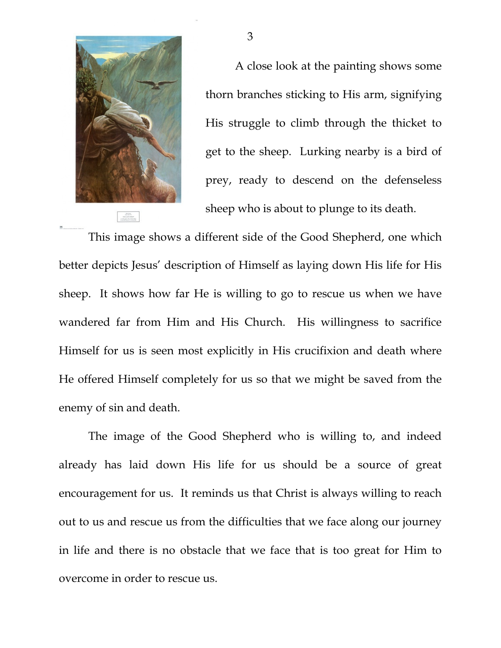

A close look at the painting shows some thorn branches sticking to His arm, signifying His struggle to climb through the thicket to get to the sheep. Lurking nearby is a bird of prey, ready to descend on the defenseless sheep who is about to plunge to its death.

This image shows a different side of the Good Shepherd, one which better depicts Jesus' description of Himself as laying down His life for His sheep. It shows how far He is willing to go to rescue us when we have wandered far from Him and His Church. His willingness to sacrifice Himself for us is seen most explicitly in His crucifixion and death where He offered Himself completely for us so that we might be saved from the enemy of sin and death.

 The image of the Good Shepherd who is willing to, and indeed already has laid down His life for us should be a source of great encouragement for us. It reminds us that Christ is always willing to reach out to us and rescue us from the difficulties that we face along our journey in life and there is no obstacle that we face that is too great for Him to overcome in order to rescue us.

3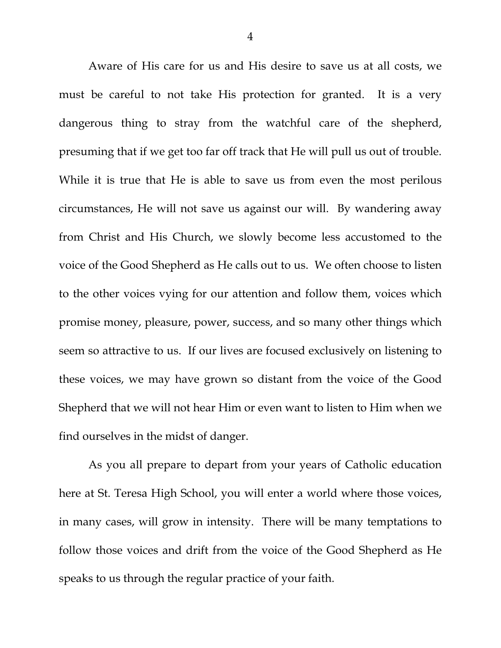Aware of His care for us and His desire to save us at all costs, we must be careful to not take His protection for granted. It is a very dangerous thing to stray from the watchful care of the shepherd, presuming that if we get too far off track that He will pull us out of trouble. While it is true that He is able to save us from even the most perilous circumstances, He will not save us against our will. By wandering away from Christ and His Church, we slowly become less accustomed to the voice of the Good Shepherd as He calls out to us. We often choose to listen to the other voices vying for our attention and follow them, voices which promise money, pleasure, power, success, and so many other things which seem so attractive to us. If our lives are focused exclusively on listening to these voices, we may have grown so distant from the voice of the Good Shepherd that we will not hear Him or even want to listen to Him when we find ourselves in the midst of danger.

 As you all prepare to depart from your years of Catholic education here at St. Teresa High School, you will enter a world where those voices, in many cases, will grow in intensity. There will be many temptations to follow those voices and drift from the voice of the Good Shepherd as He speaks to us through the regular practice of your faith.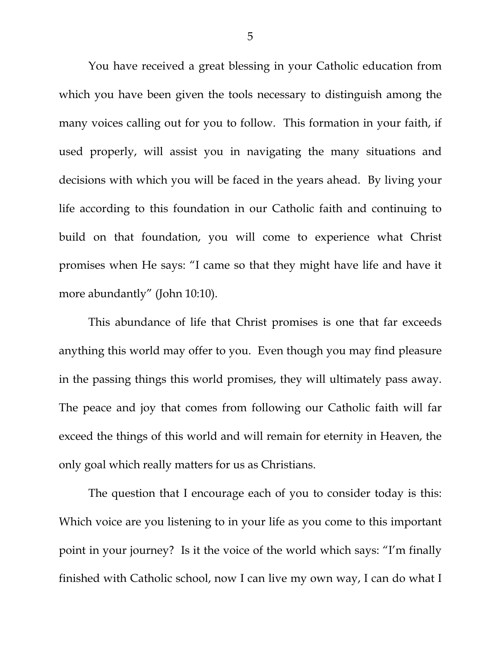You have received a great blessing in your Catholic education from which you have been given the tools necessary to distinguish among the many voices calling out for you to follow. This formation in your faith, if used properly, will assist you in navigating the many situations and decisions with which you will be faced in the years ahead. By living your life according to this foundation in our Catholic faith and continuing to build on that foundation, you will come to experience what Christ promises when He says: "I came so that they might have life and have it more abundantly" (John 10:10).

 This abundance of life that Christ promises is one that far exceeds anything this world may offer to you. Even though you may find pleasure in the passing things this world promises, they will ultimately pass away. The peace and joy that comes from following our Catholic faith will far exceed the things of this world and will remain for eternity in Heaven, the only goal which really matters for us as Christians.

 The question that I encourage each of you to consider today is this: Which voice are you listening to in your life as you come to this important point in your journey? Is it the voice of the world which says: "I'm finally finished with Catholic school, now I can live my own way, I can do what I

5